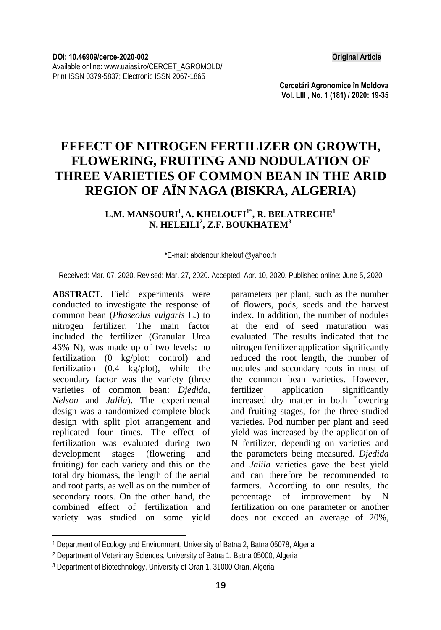**Cercetări Agronomice în Moldova Vol. LIII , No. 1 (181) / 2020: 19-35** 

# **EFFECT OF NITROGEN FERTILIZER ON GROWTH, FLOWERING, FRUITING AND NODULATION OF THREE VARIETIES OF COMMON BEAN IN THE ARID REGION OF AÏN NAGA (BISKRA, ALGERIA)**

### $\mathbf{L}.\mathbf{M}.\mathbf{MANSOURI}^{1},\mathbf{A}.\mathbf{KHELOUFI}^{1*},\mathbf{R}.\mathbf{BELATRECHE}^{1}$ **N. HELEILI<sup>2</sup> , Z.F. BOUKHATEM3**

\*E-mail: abdenour.kheloufi@yahoo.fr

Received: Mar. 07, 2020. Revised: Mar. 27, 2020. Accepted: Apr. 10, 2020. Published online: June 5, 2020

**ABSTRACT**. Field experiments were conducted to investigate the response of common bean (*Phaseolus vulgaris* L.) to nitrogen fertilizer. The main factor included the fertilizer (Granular Urea 46% N), was made up of two levels: no fertilization (0 kg/plot: control) and fertilization (0.4 kg/plot), while the secondary factor was the variety (three varieties of common bean: *Djedida*, *Nelson* and *Jalila*). The experimental design was a randomized complete block design with split plot arrangement and replicated four times. The effect of fertilization was evaluated during two development stages (flowering and fruiting) for each variety and this on the total dry biomass, the length of the aerial and root parts, as well as on the number of secondary roots. On the other hand, the combined effect of fertilization and variety was studied on some yield

l

parameters per plant, such as the number of flowers, pods, seeds and the harvest index. In addition, the number of nodules at the end of seed maturation was evaluated. The results indicated that the nitrogen fertilizer application significantly reduced the root length, the number of nodules and secondary roots in most of the common bean varieties. However, fertilizer application significantly increased dry matter in both flowering and fruiting stages, for the three studied varieties. Pod number per plant and seed yield was increased by the application of N fertilizer, depending on varieties and the parameters being measured. *Djedida* and *Jalila* varieties gave the best yield and can therefore be recommended to farmers. According to our results, the percentage of improvement by N fertilization on one parameter or another does not exceed an average of 20%,

<sup>1</sup> Department of Ecology and Environment, University of Batna 2, Batna 05078, Algeria

<sup>2</sup> Department of Veterinary Sciences, University of Batna 1, Batna 05000, Algeria

<sup>3</sup> Department of Biotechnology, University of Oran 1, 31000 Oran, Algeria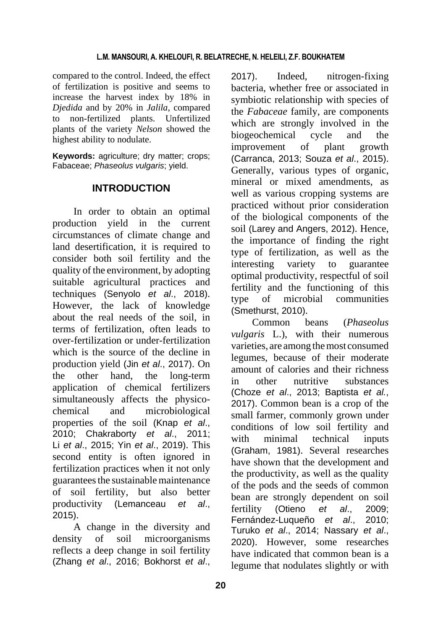compared to the control. Indeed, the effect of fertilization is positive and seems to increase the harvest index by 18% in *Djedida* and by 20% in *Jalila*, compared to non-fertilized plants. Unfertilized plants of the variety *Nelson* showed the highest ability to nodulate.

**Keywords:** agriculture; dry matter; crops; Fabaceae; *Phaseolus vulgaris*; yield.

# **INTRODUCTION**

In order to obtain an optimal production yield in the current circumstances of climate change and land desertification, it is required to consider both soil fertility and the quality of the environment, by adopting suitable agricultural practices and techniques (Senyolo *et al*., 2018). However, the lack of knowledge about the real needs of the soil, in terms of fertilization, often leads to over-fertilization or under-fertilization which is the source of the decline in production yield (Jin *et al*., 2017). On the other hand, the long-term application of chemical fertilizers simultaneously affects the physicochemical and microbiological properties of the soil (Knap *et al*., 2010; Chakraborty *et al*., 2011; Li *et al*., 2015; Yin *et al*., 2019). This second entity is often ignored in fertilization practices when it not only guaranteesthe sustainable maintenance of soil fertility, but also better productivity (Lemanceau *et al*., 2015).

A change in the diversity and density of soil microorganisms reflects a deep change in soil fertility (Zhang *et al*., 2016; Bokhorst *et al*.,

2017). Indeed, nitrogen-fixing bacteria, whether free or associated in symbiotic relationship with species of the *Fabaceae* family, are components which are strongly involved in the biogeochemical cycle and the improvement of plant growth (Carranca, 2013; Souza *et al*., 2015). Generally, various types of organic, mineral or mixed amendments, as well as various cropping systems are practiced without prior consideration of the biological components of the soil (Larey and Angers, 2012). Hence, the importance of finding the right type of fertilization, as well as the interesting variety to guarantee optimal productivity, respectful of soil fertility and the functioning of this type of microbial communities (Smethurst, 2010).

Common beans (*Phaseolus vulgaris* L.), with their numerous varieties, are among the most consumed legumes, because of their moderate amount of calories and their richness in other nutritive substances (Choze *et al*., 2013; Baptista *et al.*, 2017). Common bean is a crop of the small farmer, commonly grown under conditions of low soil fertility and with minimal technical inputs (Graham, 1981). Several researches have shown that the development and the productivity, as well as the quality of the pods and the seeds of common bean are strongly dependent on soil fertility (Otieno *et al*., 2009; Fernández-Luqueño *et al*., 2010; Turuko *et al*., 2014; Nassary *et al*., 2020). However, some researches have indicated that common bean is a legume that nodulates slightly or with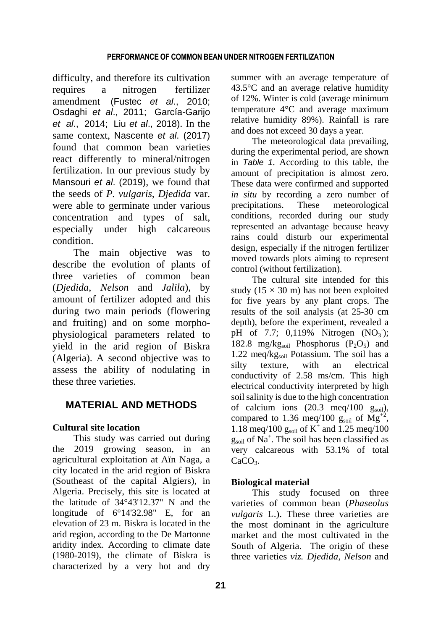difficulty, and therefore its cultivation requires a nitrogen fertilizer amendment (Fustec *et al*., 2010; Osdaghi *et al*., 2011; García-Garijo *et al*., 2014; Liu *et al*., 2018). In the same context, Nascente *et al*. (2017) found that common bean varieties react differently to mineral/nitrogen fertilization. In our previous study by Mansouri *et al*. (2019), we found that the seeds of *P. vulgaris*, *Djedida* var. were able to germinate under various concentration and types of salt, especially under high calcareous condition.

The main objective was to describe the evolution of plants of three varieties of common bean (*Djedida*, *Nelson* and *Jalila*), by amount of fertilizer adopted and this during two main periods (flowering and fruiting) and on some morphophysiological parameters related to yield in the arid region of Biskra (Algeria). A second objective was to assess the ability of nodulating in these three varieties.

# **MATERIAL AND METHODS**

## **Cultural site location**

This study was carried out during the 2019 growing season, in an agricultural exploitation at Aïn Naga, a city located in the arid region of Biskra (Southeast of the capital Algiers), in Algeria. Precisely, this site is located at the latitude of 34°43'12.37" N and the longitude of 6°14'32.98" E, for an elevation of 23 m. Biskra is located in the arid region, according to the De Martonne aridity index. According to climate date (1980-2019), the climate of Biskra is characterized by a very hot and dry

summer with an average temperature of 43.5°C and an average relative humidity of 12%. Winter is cold (average minimum temperature 4°C and average maximum relative humidity 89%). Rainfall is rare and does not exceed 30 days a year.

The meteorological data prevailing, during the experimental period, are shown in *Table 1*. According to this table, the amount of precipitation is almost zero. These data were confirmed and supported *in situ* by recording a zero number of precipitations. These meteorological conditions, recorded during our study represented an advantage because heavy rains could disturb our experimental design, especially if the nitrogen fertilizer moved towards plots aiming to represent control (without fertilization).

The cultural site intended for this study ( $15 \times 30$  m) has not been exploited for five years by any plant crops. The results of the soil analysis (at 25-30 cm depth), before the experiment, revealed a pH of 7.7;  $0,119\%$  Nitrogen (NO<sub>3</sub>); 182.8 mg/kg<sub>soil</sub> Phosphorus  $(P_2O_5)$  and 1.22 meg/kg $_{\text{soil}}$  Potassium. The soil has a silty texture, with an electrical conductivity of 2.58 ms/cm. This high electrical conductivity interpreted by high soil salinity is due to the high concentration of calcium ions  $(20.3 \text{ meg}/100 \text{ g}_{\text{soil}})$ , compared to 1.36 meq/100  $g<sub>soil</sub>$  of Mg<sup>+2</sup>, 1.18 meq/100  $g_{\text{soil}}$  of K<sup>+</sup> and 1.25 meq/100 gsoil of Na+ . The soil has been classified as very calcareous with 53.1% of total  $CaCO<sub>3</sub>$ .

## **Biological material**

This study focused on three varieties of common bean (*Phaseolus vulgaris* L.). These three varieties are the most dominant in the agriculture market and the most cultivated in the South of Algeria. The origin of these three varieties *viz. Djedida*, *Nelson* and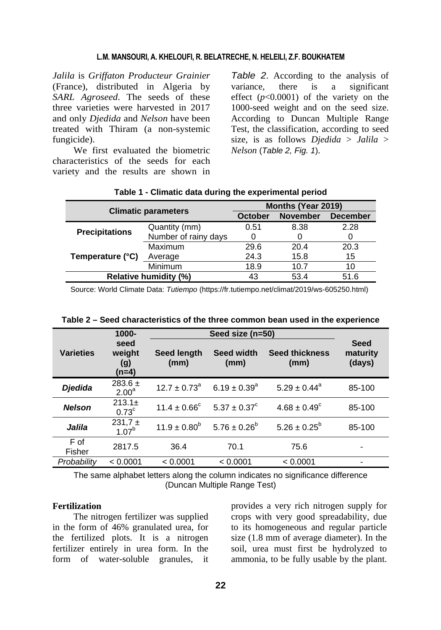*Jalila* is *Griffaton Producteur Grainier* (France), distributed in Algeria by *SARL Agroseed*. The seeds of these three varieties were harvested in 2017 and only *Djedida* and *Nelson* have been treated with Thiram (a non-systemic fungicide).

We first evaluated the biometric characteristics of the seeds for each variety and the results are shown in

*Table 2*. According to the analysis of variance, there is a significant effect  $(p<0.0001)$  of the variety on the 1000-seed weight and on the seed size. According to Duncan Multiple Range Test, the classification, according to seed size, is as follows *Djedida* > *Jalila* > *Nelson* (*Table 2, Fig. 1*).

| <b>Climatic parameters</b>   |                      | Months (Year 2019) |                 |                 |  |
|------------------------------|----------------------|--------------------|-----------------|-----------------|--|
|                              |                      | October            | <b>November</b> | <b>December</b> |  |
| <b>Precipitations</b>        | Quantity (mm)        | 0.51               | 8.38            | 2.28            |  |
|                              | Number of rainy days |                    |                 |                 |  |
| Temperature (°C)             | Maximum              | 29.6               | 20.4            | 20.3            |  |
|                              | Average              | 24.3               | 15.8            | 15              |  |
|                              | <b>Minimum</b>       | 18.9               | 10.7            | 10              |  |
| <b>Relative humidity (%)</b> |                      | 43                 | 53.4            | 51.6            |  |
|                              |                      |                    |                 |                 |  |

### **Table 1 - Climatic data during the experimental period**

Source: World Climate Data: *Tutiempo* (https://fr.tutiempo.net/climat/2019/ws-605250.html)

|                  | 1000-                            |                                           |                   |                               |                                   |  |
|------------------|----------------------------------|-------------------------------------------|-------------------|-------------------------------|-----------------------------------|--|
| <b>Varieties</b> | seed<br>weight<br>(g)<br>(n=4)   | Seed width<br>Seed length<br>(mm)<br>(mm) |                   | <b>Seed thickness</b><br>(mm) | <b>Seed</b><br>maturity<br>(days) |  |
| <b>Djedida</b>   | $283.6 \pm$<br>2.00 <sup>a</sup> | $12.7 \pm 0.73$ <sup>a</sup>              | $6.19 \pm 0.39^a$ | $5.29 \pm 0.44^a$             | 85-100                            |  |
| <b>Nelson</b>    | $213.1 \pm$<br>0.73 <sup>c</sup> | $11.4 \pm 0.66^{\circ}$                   | $5.37 \pm 0.37^c$ | $4.68 \pm 0.49^{\circ}$       | 85-100                            |  |
| Jalila           | $231,7 \pm$<br>1.07 <sup>b</sup> | $11.9 \pm 0.80^b$                         | $5.76 \pm 0.26^b$ | $5.26 \pm 0.25^{\circ}$       | 85-100                            |  |
| F of<br>Fisher   | 2817.5                           | 36.4                                      | 70.1              | 75.6                          |                                   |  |
| Probability      | < 0.0001                         | < 0.0001                                  | < 0.0001          | < 0.0001                      |                                   |  |

| Table 2 – Seed characteristics of the three common bean used in the experience |  |  |
|--------------------------------------------------------------------------------|--|--|
|                                                                                |  |  |

The same alphabet letters along the column indicates no significance difference (Duncan Multiple Range Test)

### **Fertilization**

The nitrogen fertilizer was supplied in the form of 46% granulated urea, for the fertilized plots. It is a nitrogen fertilizer entirely in urea form. In the form of water-soluble granules, it provides a very rich nitrogen supply for crops with very good spreadability, due to its homogeneous and regular particle size (1.8 mm of average diameter). In the soil, urea must first be hydrolyzed to ammonia, to be fully usable by the plant.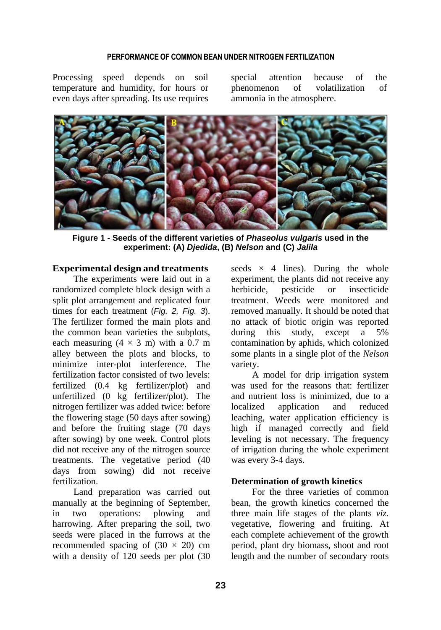Processing speed depends on soil temperature and humidity, for hours or even days after spreading. Its use requires special attention because of the phenomenon of volatilization of ammonia in the atmosphere.



**Figure 1 - Seeds of the different varieties of** *Phaseolus vulgaris* **used in the experiment: (A)** *Djedida***, (B)** *Nelson* **and (C)** *Jalila*

### **Experimental design and treatments**

The experiments were laid out in a randomized complete block design with a split plot arrangement and replicated four times for each treatment (*Fig. 2, Fig. 3*). The fertilizer formed the main plots and the common bean varieties the subplots, each measuring  $(4 \times 3 \text{ m})$  with a 0.7 m alley between the plots and blocks, to minimize inter-plot interference. The fertilization factor consisted of two levels: fertilized (0.4 kg fertilizer/plot) and unfertilized (0 kg fertilizer/plot). The nitrogen fertilizer was added twice: before the flowering stage (50 days after sowing) and before the fruiting stage (70 days after sowing) by one week. Control plots did not receive any of the nitrogen source treatments. The vegetative period (40 days from sowing) did not receive fertilization.

Land preparation was carried out manually at the beginning of September, in two operations: plowing and harrowing. After preparing the soil, two seeds were placed in the furrows at the recommended spacing of  $(30 \times 20)$  cm with a density of 120 seeds per plot (30

seeds  $\times$  4 lines). During the whole experiment, the plants did not receive any herbicide, pesticide or insecticide treatment. Weeds were monitored and removed manually. It should be noted that no attack of biotic origin was reported during this study, except a 5% contamination by aphids, which colonized some plants in a single plot of the *Nelson* variety.

A model for drip irrigation system was used for the reasons that: fertilizer and nutrient loss is minimized, due to a localized application and reduced leaching, water application efficiency is high if managed correctly and field leveling is not necessary. The frequency of irrigation during the whole experiment was every 3-4 days.

### **Determination of growth kinetics**

For the three varieties of common bean, the growth kinetics concerned the three main life stages of the plants *viz.* vegetative, flowering and fruiting. At each complete achievement of the growth period, plant dry biomass, shoot and root length and the number of secondary roots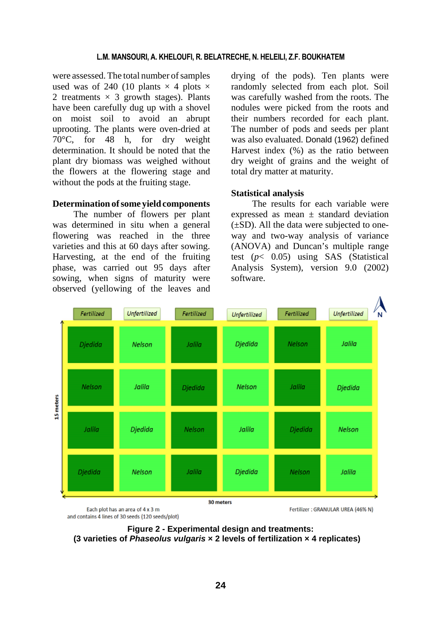were assessed. The total number of samples used was of 240 (10 plants  $\times$  4 plots  $\times$ 2 treatments  $\times$  3 growth stages). Plants have been carefully dug up with a shovel on moist soil to avoid an abrupt uprooting. The plants were oven-dried at 70°C, for 48 h, for dry weight determination. It should be noted that the plant dry biomass was weighed without the flowers at the flowering stage and without the pods at the fruiting stage.

### **Determination ofsome yield components**

The number of flowers per plant was determined in situ when a general flowering was reached in the three varieties and this at 60 days after sowing. Harvesting, at the end of the fruiting phase, was carried out 95 days after sowing, when signs of maturity were observed (yellowing of the leaves and drying of the pods). Ten plants were randomly selected from each plot. Soil was carefully washed from the roots. The nodules were picked from the roots and their numbers recorded for each plant. The number of pods and seeds per plant was also evaluated. Donald (1962) defined Harvest index (%) as the ratio between dry weight of grains and the weight of total dry matter at maturity.

#### **Statistical analysis**

The results for each variable were expressed as mean  $\pm$  standard deviation  $(\pm SD)$ . All the data were subjected to oneway and two-way analysis of variance (ANOVA) and Duncan's multiple range test (*p*< 0.05) using SAS (Statistical Analysis System), version 9.0 (2002) software.



and contains 4 lines of 30 seeds (120 seeds/plot)

Fertilizer: GRANULAR UREA (46% N)

**Figure 2 - Experimental design and treatments: (3 varieties of** *Phaseolus vulgaris* **× 2 levels of fertilization × 4 replicates)**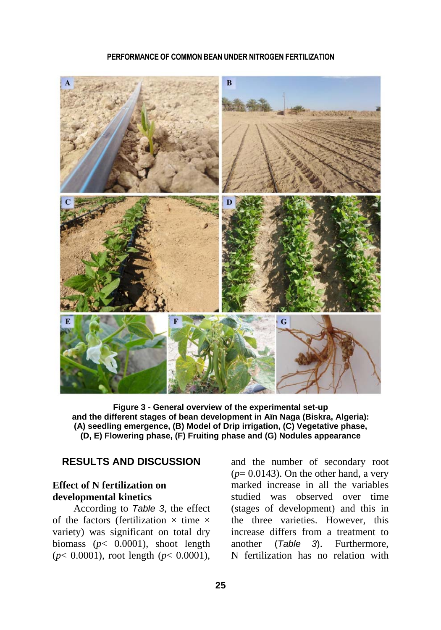

**Figure 3 - General overview of the experimental set-up and the different stages of bean development in Aïn Naga (Biskra, Algeria): (A) seedling emergence, (B) Model of Drip irrigation, (C) Vegetative phase, (D, E) Flowering phase, (F) Fruiting phase and (G) Nodules appearance**

# **RESULTS AND DISCUSSION**

# **Effect of N fertilization on developmental kinetics**

According to *Table 3*, the effect of the factors (fertilization  $\times$  time  $\times$ variety) was significant on total dry biomass (*p*< 0.0001), shoot length (*p*< 0.0001), root length (*p*< 0.0001), and the number of secondary root  $(p= 0.0143)$ . On the other hand, a very marked increase in all the variables studied was observed over time (stages of development) and this in the three varieties. However, this increase differs from a treatment to another (*Table 3*). Furthermore, N fertilization has no relation with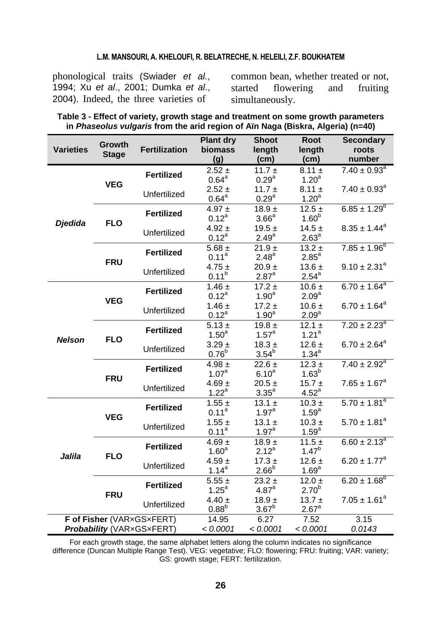phonological traits (Swiader *et al.*, 1994; Xu *et al*., 2001; Dumka *et al*., 2004). Indeed, the three varieties of

common bean, whether treated or not, started flowering and fruiting simultaneously.

| Table 3 - Effect of variety, growth stage and treatment on some growth parameters          |  |
|--------------------------------------------------------------------------------------------|--|
| in <i>Phaseolus vulgaris</i> from the arid region of Aïn Naga (Biskra, Algeria) ( $n=40$ ) |  |

|                           | <b>Growth</b> |                      | <b>Plant dry</b>  | <b>Shoot</b>      | Root              | <b>Secondary</b>             |
|---------------------------|---------------|----------------------|-------------------|-------------------|-------------------|------------------------------|
| <b>Varieties</b>          | <b>Stage</b>  | <b>Fertilization</b> | <b>biomass</b>    | length            | length            | roots                        |
|                           |               |                      | (g)               | (cm)              | (cm)              | number                       |
|                           |               | <b>Fertilized</b>    | $2.52 \pm$        | 11.7 $\pm$        | $8.11 \pm$        | $7.40 \pm 0.93^a$            |
|                           | <b>VEG</b>    |                      | $0.64^{\text{a}}$ | 0.29 <sup>a</sup> | 1.20 <sup>a</sup> |                              |
|                           |               |                      | $2.52 \pm$        | 11.7 $\pm$        | $8.11 \pm$        | $7.40 \pm 0.93$ <sup>a</sup> |
|                           |               | Unfertilized         | $0.64^{\text{a}}$ | $0.29^{a}$        | 1.20 <sup>a</sup> |                              |
|                           |               | <b>Fertilized</b>    | 4.97 $\pm$        | $18.9 +$          | $12.5 \pm$        | $6.85 \pm 1.29^{b}$          |
|                           | <b>FLO</b>    |                      | $0.12^a$          | 3.66 <sup>a</sup> | 1.60 <sup>b</sup> |                              |
| <b>Djedida</b>            |               | Unfertilized         | $4.92 \pm$        | 19.5 $\pm$        | $14.5 +$          | $8.35 \pm 1.44^a$            |
|                           |               |                      | $0.12^a$          | $2.49^{a}$        | 2.63 <sup>a</sup> |                              |
|                           |               |                      | 5.68 $\pm$        | $21.9 +$          | $13.2 \pm$        | $7.85 \pm 1.96^b$            |
|                           | <b>FRU</b>    | <b>Fertilized</b>    | $0.11^{a}$        | $2.48^{a}$        | 2.85 <sup>a</sup> |                              |
|                           |               |                      | $4.75 \pm$        | $20.9 +$          | 13.6 $\pm$        | $9.10 \pm 2.31^a$            |
|                           |               | Unfertilized         | $0.11^{b}$        | $2.87^{\circ}$    | $2.54^{a}$        |                              |
|                           |               | <b>Fertilized</b>    | $1.46 \pm$        | $17.2 \pm$        | $10.6 \pm$        | $6.70 \pm 1.64^a$            |
| <b>Nelson</b>             |               |                      | $0.12^a$          | 1.90 <sup>a</sup> | 2.09 <sup>a</sup> |                              |
|                           | <b>VEG</b>    |                      | $1.46 \pm$        | $17.2 \pm$        | $10.6 \pm$        | $6.70 \pm 1.64^a$            |
|                           |               | Unfertilized         | $0.12^a$          | 1.90 <sup>a</sup> | 2.09 <sup>a</sup> |                              |
|                           | <b>FLO</b>    | <b>Fertilized</b>    | $5.13 \pm$        | $19.8 \pm$        | $12.1 \pm$        | $7.20 \pm 2.23^a$            |
|                           |               |                      | 1.50 <sup>a</sup> | 1.57 <sup>a</sup> | 1.21 <sup>a</sup> |                              |
|                           |               |                      | $3.29 \pm$        | $18.3 \pm$        | $12.6 \pm$        | $6.70 \pm 2.64^a$            |
|                           |               | Unfertilized         | $0.76^{b}$        | $3.54^{b}$        | $1.34^{a}$        |                              |
|                           | <b>FRU</b>    | <b>Fertilized</b>    | 4.98 $\pm$        | $22.6 \pm$        | $12.3 \pm$        | $7.40 \pm 2.92^a$            |
|                           |               |                      | 1.07 <sup>a</sup> | 6.10 <sup>a</sup> | 1.63 <sup>b</sup> |                              |
|                           |               | Unfertilized         | 4.69 $\pm$        | $20.5 +$          | $15.7 \pm$        | $7.65 \pm 1.67^a$            |
|                           |               |                      | $1.22^a$          | 3.35 <sup>a</sup> | $4.52^{\circ}$    |                              |
|                           | <b>VEG</b>    | <b>Fertilized</b>    | $1.55 \pm$        | 13.1 $\pm$        | $10.3 \pm$        | $5.70 \pm 1.81^a$            |
|                           |               |                      | $0.11^a$          | $1.97^{\text{a}}$ | $1.59^{a}$        |                              |
|                           |               | Unfertilized         | $1.55 \pm$        | 13.1 $\pm$        | $10.3 +$          | $5.70 \pm 1.81^a$            |
|                           |               |                      | $0.11^{a}$        | $1.97^{\text{a}}$ | $1.59^{a}$        |                              |
|                           |               | <b>Fertilized</b>    | $4.69 \pm$        | $18.9 +$          | 11.5 $\pm$        | $6.60 \pm 2.13^a$            |
| Jalila                    | <b>FLO</b>    |                      | 1.60 <sup>a</sup> | $2.12^{a}$        | $1.47^{b}$        |                              |
|                           |               | Unfertilized         | $4.59 \pm$        | $17.3 \pm$        | $12.6 \pm$        | $6.20 \pm 1.77^a$            |
|                           |               |                      | $1.14^{a}$        | $2.66^b$          | 1.69 <sup>a</sup> |                              |
|                           |               | <b>Fertilized</b>    | $5.55 \pm$        | $23.2 \pm$        | 12.0 $\pm$        | $6.20 \pm 1.68^{\circ}$      |
|                           | <b>FRU</b>    |                      | $1.25^{\circ}$    | 4.87 <sup>a</sup> | 2.70 <sup>b</sup> |                              |
|                           |               | Unfertilized         | $4.40 \pm$        | $18.9 +$          | $13.7 \pm$        | $7.05 \pm 1.61^a$            |
|                           |               |                      | $0.88^{b}$        | $3.67^b$          | $2.67^a$          |                              |
| F of Fisher (VARxGSxFERT) |               | 14.95                | 6.27              | 7.52              | 3.15              |                              |
| Probability (VARxGSxFERT) |               |                      | < 0.0001          | < 0.0001          | < 0.0001          | 0.0143                       |

For each growth stage, the same alphabet letters along the column indicates no significance difference (Duncan Multiple Range Test). VEG: vegetative; FLO: flowering; FRU: fruiting; VAR: variety; GS: growth stage; FERT: fertilization.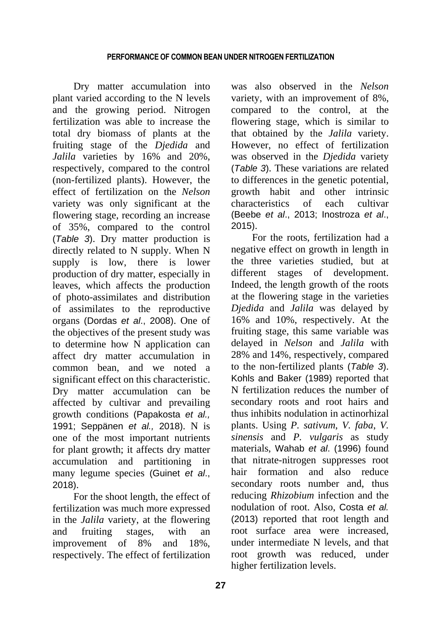Dry matter accumulation into plant varied according to the N levels and the growing period. Nitrogen fertilization was able to increase the total dry biomass of plants at the fruiting stage of the *Djedida* and *Jalila* varieties by 16% and 20%, respectively, compared to the control (non-fertilized plants). However, the effect of fertilization on the *Nelson* variety was only significant at the flowering stage, recording an increase of 35%, compared to the control (*Table 3*). Dry matter production is directly related to N supply. When N supply is low, there is lower production of dry matter, especially in leaves, which affects the production of photo-assimilates and distribution of assimilates to the reproductive organs (Dordas *et al*., 2008). One of the objectives of the present study was to determine how N application can affect dry matter accumulation in common bean, and we noted a significant effect on this characteristic. Dry matter accumulation can be affected by cultivar and prevailing growth conditions (Papakosta *et al.,* 1991; Seppänen *et al.,* 2018). N is one of the most important nutrients for plant growth; it affects dry matter accumulation and partitioning in many legume species (Guinet *et al*., 2018).

For the shoot length, the effect of fertilization was much more expressed in the *Jalila* variety, at the flowering and fruiting stages, with an improvement of 8% and 18%, respectively. The effect of fertilization

was also observed in the *Nelson* variety, with an improvement of 8%, compared to the control, at the flowering stage, which is similar to that obtained by the *Jalila* variety. However, no effect of fertilization was observed in the *Djedida* variety (*Table 3*). These variations are related to differences in the genetic potential, growth habit and other intrinsic characteristics of each cultivar (Beebe *et al*., 2013; Inostroza *et al*., 2015).

For the roots, fertilization had a negative effect on growth in length in the three varieties studied, but at different stages of development. Indeed, the length growth of the roots at the flowering stage in the varieties *Djedida* and *Jalila* was delayed by 16% and 10%, respectively. At the fruiting stage, this same variable was delayed in *Nelson* and *Jalila* with 28% and 14%, respectively, compared to the non-fertilized plants (*Table 3*). Kohls and Baker (1989) reported that N fertilization reduces the number of secondary roots and root hairs and thus inhibits nodulation in actinorhizal plants. Using *P. sativum*, *V. faba*, *V. sinensis* and *P. vulgaris* as study materials, Wahab *et al*. (1996) found that nitrate-nitrogen suppresses root hair formation and also reduce secondary roots number and, thus reducing *Rhizobium* infection and the nodulation of root. Also, Costa *et al.* (2013) reported that root length and root surface area were increased, under intermediate N levels, and that root growth was reduced, under higher fertilization levels.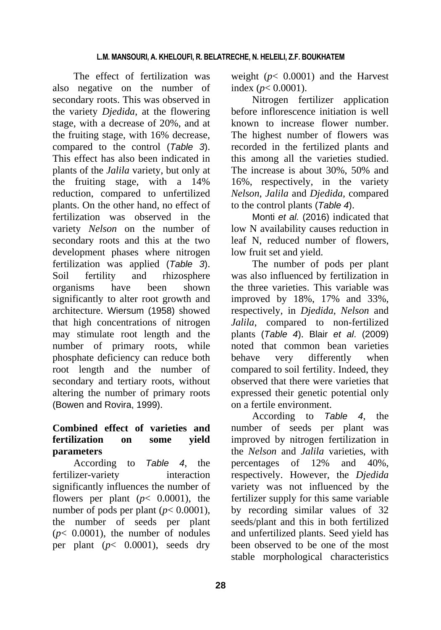The effect of fertilization was also negative on the number of secondary roots. This was observed in the variety *Djedida*, at the flowering stage, with a decrease of 20%, and at the fruiting stage, with 16% decrease, compared to the control (*Table 3*). This effect has also been indicated in plants of the *Jalila* variety, but only at the fruiting stage, with a 14% reduction, compared to unfertilized plants. On the other hand, no effect of fertilization was observed in the variety *Nelson* on the number of secondary roots and this at the two development phases where nitrogen fertilization was applied (*Table 3*). Soil fertility and rhizosphere organisms have been shown significantly to alter root growth and architecture. Wiersum (1958) showed that high concentrations of nitrogen may stimulate root length and the number of primary roots, while phosphate deficiency can reduce both root length and the number of secondary and tertiary roots, without altering the number of primary roots (Bowen and Rovira, 1999).

# **Combined effect of varieties and fertilization on some yield parameters**

According to *Table 4*, the fertilizer-variety interaction significantly influences the number of flowers per plant  $(p < 0.0001)$ , the number of pods per plant ( $p < 0.0001$ ), the number of seeds per plant  $(p< 0.0001)$ , the number of nodules per plant  $(p < 0.0001)$ , seeds dry weight  $(p< 0.0001)$  and the Harvest index (*p*< 0.0001).

Nitrogen fertilizer application before inflorescence initiation is well known to increase flower number. The highest number of flowers was recorded in the fertilized plants and this among all the varieties studied. The increase is about 30%, 50% and 16%, respectively, in the variety *Nelson*, *Jalila* and *Djedida,* compared to the control plants (*Table 4*).

Monti *et al.* (2016) indicated that low N availability causes reduction in leaf N, reduced number of flowers, low fruit set and yield.

The number of pods per plant was also influenced by fertilization in the three varieties. This variable was improved by 18%, 17% and 33%, respectively, in *Djedida*, *Nelson* and *Jalila*, compared to non-fertilized plants (*Table 4*). Blair *et al*. (2009) noted that common bean varieties behave very differently when compared to soil fertility. Indeed, they observed that there were varieties that expressed their genetic potential only on a fertile environment.

According to *Table 4*, the number of seeds per plant was improved by nitrogen fertilization in the *Nelson* and *Jalila* varieties, with percentages of 12% and 40%, respectively. However, the *Djedida*  variety was not influenced by the fertilizer supply for this same variable by recording similar values of 32 seeds/plant and this in both fertilized and unfertilized plants. Seed yield has been observed to be one of the most stable morphological characteristics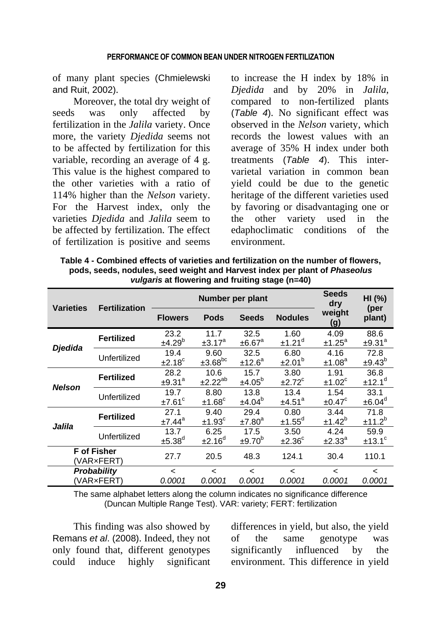of many plant species (Chmielewski and Ruit, 2002).

Moreover, the total dry weight of seeds was only affected by fertilization in the *Jalila* variety. Once more, the variety *Djedida* seems not to be affected by fertilization for this variable, recording an average of 4 g. This value is the highest compared to the other varieties with a ratio of 114% higher than the *Nelson* variety. For the Harvest index, only the varieties *Djedida* and *Jalila* seem to be affected by fertilization. The effect of fertilization is positive and seems

to increase the H index by 18% in *Djedida* and by 20% in *Jalila*, compared to non-fertilized plants (*Table 4*). No significant effect was observed in the *Nelson* variety, which records the lowest values with an average of 35% H index under both treatments (*Table 4*). This intervarietal variation in common bean yield could be due to the genetic heritage of the different varieties used by favoring or disadvantaging one or the other variety used in the edaphoclimatic conditions of the environment.

| Table 4 - Combined effects of varieties and fertilization on the number of flowers, |
|-------------------------------------------------------------------------------------|
| pods, seeds, nodules, seed weight and Harvest index per plant of <i>Phaseolus</i>   |
| vulgaris at flowering and fruiting stage (n=40)                                     |

| <b>Varieties</b>                 | <b>Fertilization</b> | Number per plant           |                                    |                                    |                              | <b>Seeds</b><br>dry        | HI (%)<br>(per                     |  |
|----------------------------------|----------------------|----------------------------|------------------------------------|------------------------------------|------------------------------|----------------------------|------------------------------------|--|
|                                  |                      | <b>Flowers</b>             | <b>Pods</b>                        | <b>Seeds</b>                       | <b>Nodules</b>               | weight<br>(g)              | plant)                             |  |
| Djedida                          | <b>Fertilized</b>    | 23.2<br>±4.29 <sup>b</sup> | 11.7<br>$\pm 3.17$ <sup>a</sup>    | 32.5<br>±6.67 <sup>a</sup>         | 1.60<br>±1.21 <sup>d</sup>   | 4.09<br>±1.25 <sup>a</sup> | 88.6<br>±9.31 <sup>a</sup>         |  |
|                                  | Unfertilized         | 19.4<br>±2.18 <sup>c</sup> | 9.60<br>$±3.68^{bc}$               | 32.5<br>±12.6 <sup>a</sup>         | 6.80<br>±2.01 <sup>b</sup>   | 4.16<br>±1.08 <sup>a</sup> | 72.8<br>±9.43 <sup>b</sup>         |  |
| <b>Nelson</b>                    | <b>Fertilized</b>    | 28.2<br>±9.31 <sup>a</sup> | 10.6<br>$±2.22^{ab}$               | 15.7<br>±4.05 <sup>b</sup>         | 3.80<br>$±2.72$ <sup>c</sup> | 1.91<br>±1.02 <sup>c</sup> | 36.8<br>±12.1 <sup>d</sup>         |  |
|                                  | Unfertilized         | 19.7<br>±7.61 <sup>c</sup> | 8.80<br>±1.68 <sup>c</sup>         | 13.8<br>±4.04 <sup>b</sup>         | 13.4<br>±4.51 <sup>a</sup>   | 1.54<br>$±0.47^{\circ}$    | 33.1<br>±6.04 <sup>d</sup>         |  |
| Jalila                           | <b>Fertilized</b>    | 27.1<br>±7.44 <sup>a</sup> | 9.40<br>±1.93 <sup>c</sup>         | 29.4<br>±7.80 <sup>a</sup>         | 0.80<br>$±1.55^d$            | 3.44<br>±1.42 <sup>b</sup> | 71.8<br>±11.2 <sup>b</sup>         |  |
|                                  | Unfertilized         | 13.7<br>±5.38 <sup>d</sup> | 6.25<br>±2.16 <sup>d</sup>         | 17.5<br>±9.70 <sup>b</sup>         | 3.50<br>±2.36 <sup>c</sup>   | 4.24<br>±2.33 <sup>a</sup> | 59.9<br>±13.1 <sup>c</sup>         |  |
| <b>F</b> of Fisher<br>(VAR×FERT) |                      | 27.7                       | 20.5                               | 48.3                               | 124.1                        | 30.4                       | 110.1                              |  |
| Probability<br>(VAR×FERT         |                      | $\overline{a}$<br>0.0001   | $\overline{\phantom{a}}$<br>0.0001 | $\overline{\phantom{a}}$<br>0.0001 | $\overline{a}$<br>0.0001     | <<br>0.0001                | $\overline{\phantom{a}}$<br>0.0001 |  |

The same alphabet letters along the column indicates no significance difference (Duncan Multiple Range Test). VAR: variety; FERT: fertilization

This finding was also showed by Remans *et al*. (2008). Indeed, they not only found that, different genotypes could induce highly significant differences in yield, but also, the yield of the same genotype was significantly influenced by the environment. This difference in yield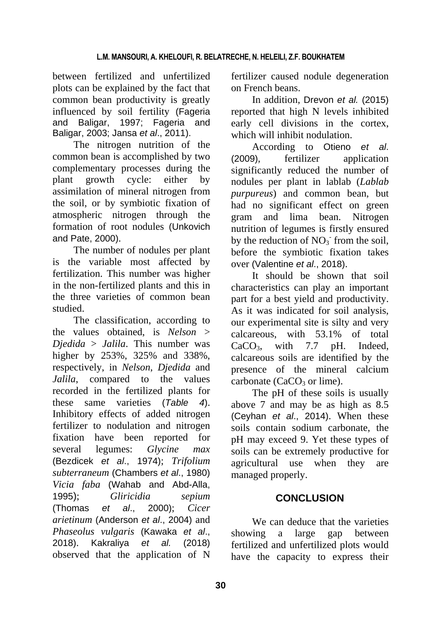between fertilized and unfertilized plots can be explained by the fact that common bean productivity is greatly influenced by soil fertility (Fageria and Baligar, 1997; Fageria and Baligar, 2003; Jansa *et al*., 2011).

The nitrogen nutrition of the common bean is accomplished by two complementary processes during the plant growth cycle: either by assimilation of mineral nitrogen from the soil, or by symbiotic fixation of atmospheric nitrogen through the formation of root nodules (Unkovich and Pate, 2000).

The number of nodules per plant is the variable most affected by fertilization. This number was higher in the non-fertilized plants and this in the three varieties of common bean studied.

The classification, according to the values obtained, is *Nelson* > *Djedida* > *Jalila*. This number was higher by 253%, 325% and 338%, respectively, in *Nelson*, *Djedida* and *Jalila*, compared to the values recorded in the fertilized plants for these same varieties (*Table 4*). Inhibitory effects of added nitrogen fertilizer to nodulation and nitrogen fixation have been reported for several legumes: *Glycine max* (Bezdicek *et al*., 1974); *Trifolium subterraneum* (Chambers *et al*., 1980) *Vicia faba* (Wahab and Abd-Alla, 1995); *Gliricidia sepium* (Thomas *et al*., 2000); *Cicer arietinum* (Anderson *et al*., 2004) and *Phaseolus vulgaris* (Kawaka *et al*., 2018). Kakraliya *et al.* (2018) observed that the application of N

fertilizer caused nodule degeneration on French beans.

In addition, Drevon *et al.* (2015) reported that high N levels inhibited early cell divisions in the cortex, which will inhibit nodulation.

According to Otieno *et al*. (2009), fertilizer application significantly reduced the number of nodules per plant in lablab (*Lablab purpureus*) and common bean, but had no significant effect on green gram and lima bean. Nitrogen nutrition of legumes is firstly ensured by the reduction of  $NO<sub>3</sub>$  from the soil, before the symbiotic fixation takes over (Valentine *et al*., 2018).

It should be shown that soil characteristics can play an important part for a best yield and productivity. As it was indicated for soil analysis, our experimental site is silty and very calcareous, with 53.1% of total CaCO3, with 7.7 pH. Indeed, calcareous soils are identified by the presence of the mineral calcium carbonate ( $CaCO<sub>3</sub>$  or lime).

The pH of these soils is usually above 7 and may be as high as 8.5 (Ceyhan *et al*., 2014). When these soils contain sodium carbonate, the pH may exceed 9. Yet these types of soils can be extremely productive for agricultural use when they are managed properly.

# **CONCLUSION**

We can deduce that the varieties showing a large gap between fertilized and unfertilized plots would have the capacity to express their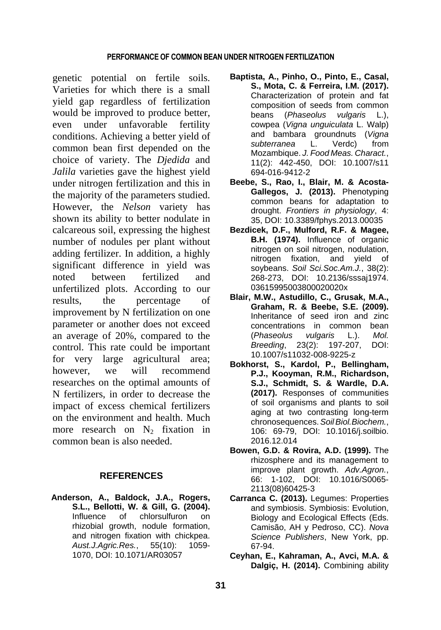genetic potential on fertile soils. Varieties for which there is a small yield gap regardless of fertilization would be improved to produce better, even under unfavorable fertility conditions. Achieving a better yield of common bean first depended on the choice of variety. The *Djedida* and *Jalila* varieties gave the highest yield under nitrogen fertilization and this in the majority of the parameters studied. However, the *Nelson* variety has shown its ability to better nodulate in calcareous soil, expressing the highest number of nodules per plant without adding fertilizer. In addition, a highly significant difference in yield was noted between fertilized and unfertilized plots. According to our results, the percentage of improvement by N fertilization on one parameter or another does not exceed an average of 20%, compared to the control. This rate could be important for very large agricultural area; however, we will recommend researches on the optimal amounts of N fertilizers, in order to decrease the impact of excess chemical fertilizers on the environment and health. Much more research on  $N_2$  fixation in common bean is also needed.

## **REFERENCES**

**Anderson, A., Baldock, J.A., Rogers, S.L., Bellotti, W. & Gill, G. (2004).** Influence of chlorsulfuron on rhizobial growth, nodule formation, and nitrogen fixation with chickpea. *Aust.J.Agric.Res.*, 55(10): 1059- 1070, DOI: 10.1071/AR03057

- **Baptista, A., Pinho, O., Pinto, E., Casal, S., Mota, C. & Ferreira, I.M. (2017).** Characterization of protein and fat composition of seeds from common beans (*Phaseolus vulgaris* L.), cowpea (*Vigna unguiculata* L. Walp) and bambara groundnuts (*Vigna subterranea* L. Verdc) from Mozambique. *J. Food Meas. Charact.*, 11(2): 442-450, DOI: 10.1007/s11 694-016-9412-2
- **Beebe, S., Rao, I., Blair, M. & Acosta-Gallegos, J. (2013).** Phenotyping common beans for adaptation to drought. *Frontiers in physiology*, 4: 35, DOI: 10.3389/fphys.2013.00035
- **Bezdicek, D.F., Mulford, R.F. & Magee, B.H. (1974).** Influence of organic nitrogen on soil nitrogen, nodulation, nitrogen fixation, and yield of soybeans. *Soil Sci.Soc.Am.J.*, 38(2): 268-273, DOI: 10.2136/sssaj1974. 03615995003800020020x
- **Blair, M.W., Astudillo, C., Grusak, M.A., Graham, R. & Beebe, S.E. (2009).** Inheritance of seed iron and zinc concentrations in common bean (*Phaseolus vulgaris* L.). *Mol. Breeding*, 23(2): 197-207, DOI: 10.1007/s11032-008-9225-z
- **Bokhorst, S., Kardol, P., Bellingham, P.J., Kooyman, R.M., Richardson, S.J., Schmidt, S. & Wardle, D.A. (2017).** Responses of communities of soil organisms and plants to soil aging at two contrasting long-term chronosequences.*SoilBiol.Biochem.*, 106: 69-79, DOI: 10.1016/j.soilbio. 2016.12.014
- **Bowen, G.D. & Rovira, A.D. (1999).** The rhizosphere and its management to improve plant growth. *Adv.Agron.*, 66: 1-102, DOI: 10.1016/S0065- 2113(08)60425-3
- **Carranca C. (2013).** Legumes: Properties and symbiosis. Symbiosis: Evolution, Biology and Ecological Effects (Eds. Camisão, AH y Pedroso, CC). *Nova Science Publishers*, New York, pp. 67-94.
- **Ceyhan, E., Kahraman, A., Avci, M.A. & Dalgiç, H. (2014).** Combining ability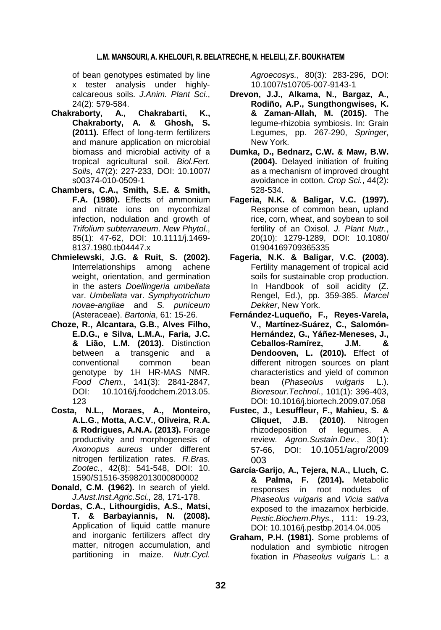of bean genotypes estimated by line x tester analysis under highlycalcareous soils. *J.Anim. Plant Sci.*, 24(2): 579-584.

- **Chakraborty, A., Chakrabarti, K., Chakraborty, A. & Ghosh, S. (2011).** Effect of long-term fertilizers and manure application on microbial biomass and microbial activity of a tropical agricultural soil. *Biol.Fert. Soils*, 47(2): 227-233, DOI: 10.1007/ s00374-010-0509-1
- **Chambers, C.A., Smith, S.E. & Smith, F.A. (1980).** Effects of ammonium and nitrate ions on mycorrhizal infection, nodulation and growth of *Trifolium subterraneum*. *New Phytol.*, 85(1): 47-62, DOI: 10.1111/j.1469- 8137.1980.tb04447.x
- **Chmielewski, J.G. & Ruit, S. (2002).** Interrelationships among achene weight, orientation, and germination in the asters *Doellingeria umbellata* var. *Umbellata* var. *Symphyotrichum novae-angliae* and *S. puniceum* (Asteraceae). *Bartonia*, 61: 15-26.
- **Choze, R., Alcantara, G.B., Alves Filho, E.D.G., e Silva, L.M.A., Faria, J.C. & Lião, L.M. (2013).** Distinction between a transgenic and a conventional common bean genotype by 1H HR-MAS NMR. *Food Chem.*, 141(3): 2841-2847, DOI: 10.1016/j.foodchem.2013.05. 123
- **Costa, N.L., Moraes, A., Monteiro, A.L.G., Motta, A.C.V., Oliveira, R.A. & Rodrigues, A.N.A. (2013).** Forage productivity and morphogenesis of *Axonopus aureus* under different nitrogen fertilization rates. *R.Bras. Zootec.*, 42(8): 541-548, DOI: 10. 1590/S1516-35982013000800002
- **Donald, C.M. (1962).** In search of yield. *J.Aust.Inst.Agric.Sci.,* 28, 171-178.
- **Dordas, C.A., Lithourgidis, A.S., Matsi, T. & Barbayiannis, N. (2008).** Application of liquid cattle manure and inorganic fertilizers affect dry matter, nitrogen accumulation, and partitioning in maize. *Nutr.Cycl.*

*Agroecosys.*, 80(3): 283-296, DOI: 10.1007/s10705-007-9143-1

- **Drevon, J.J., Alkama, N., Bargaz, A., Rodiño, A.P., Sungthongwises, K. & Zaman-Allah, M. (2015).** The legume-rhizobia symbiosis. In: Grain Legumes, pp. 267-290, *Springer*, New York.
- **Dumka, D., Bednarz, C.W. & Maw, B.W. (2004).** Delayed initiation of fruiting as a mechanism of improved drought avoidance in cotton. *Crop Sci.*, 44(2): 528-534.
- **Fageria, N.K. & Baligar, V.C. (1997).** Response of common bean, upland rice, corn, wheat, and soybean to soil fertility of an Oxisol. *J. Plant Nutr.*, 20(10): 1279-1289, DOI: 10.1080/ 01904169709365335
- **Fageria, N.K. & Baligar, V.C. (2003).** Fertility management of tropical acid soils for sustainable crop production. In Handbook of soil acidity (Z. Rengel, Ed.), pp. 359-385. *Marcel Dekker*, New York.
- **Fernández-Luqueño, F., Reyes-Varela, V., Martínez-Suárez, C., Salomón-Hernández, G., Yáñez-Meneses, J., Ceballos-Ramírez, J.M. & Dendooven, L. (2010).** Effect of different nitrogen sources on plant characteristics and yield of common bean (*Phaseolus vulgaris* L.). *Bioresour.Technol.*, 101(1): 396-403, DOI: 10.1016/j.biortech.2009.07.058
- **Fustec, J., Lesuffleur, F., Mahieu, S. & Cliquet, J.B. (2010).** Nitrogen rhizodeposition of legumes. A review. *Agron.Sustain.Dev.*, 30(1): 57-66, DOI: 10.1051/agro/2009 003
- **García-Garijo, A., Tejera, N.A., Lluch, C. & Palma, F. (2014).** Metabolic responses in root nodules of *Phaseolus vulgaris* and *Vicia sativa* exposed to the imazamox herbicide. *Pestic.Biochem.Phys.*, 111: 19-23, DOI: 10.1016/j.pestbp.2014.04.005
- **Graham, P.H. (1981).** Some problems of nodulation and symbiotic nitrogen fixation in *Phaseolus vulgaris* L.: a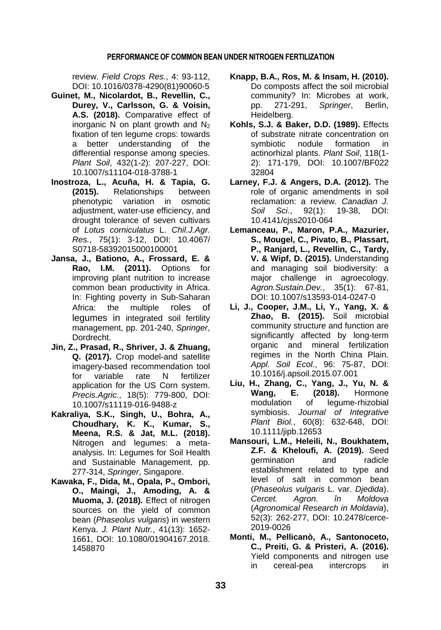review. *Field Crops Res.*, 4: 93-112, DOI: 10.1016/0378-4290(81)90060-5

- **Guinet, M., Nicolardot, B., Revellin, C., Durey, V., Carlsson, G. & Voisin, A.S. (2018).** Comparative effect of inorganic N on plant growth and  $N_2$ fixation of ten legume crops: towards a better understanding of the differential response among species. *Plant Soil*, 432(1-2): 207-227, DOI: 10.1007/s11104-018-3788-1
- **Inostroza, L., Acuña, H. & Tapia, G. (2015).** Relationships between phenotypic variation in osmotic adjustment, water-use efficiency, and drought tolerance of seven cultivars of *Lotus corniculatus* L. *Chil.J.Agr. Res.*, 75(1): 3-12, DOI: 10.4067/ S0718-58392015000100001
- **Jansa, J., Bationo, A., Frossard, E. & Rao, I.M. (2011).** Options for improving plant nutrition to increase common bean productivity in Africa. In: Fighting poverty in Sub-Saharan Africa: the multiple roles of legumes in integrated soil fertility management, pp. 201-240, *Springer*, Dordrecht.
- **Jin, Z., Prasad, R., Shriver, J. & Zhuang, Q. (2017).** Crop model-and satellite imagery-based recommendation tool for variable rate N fertilizer application for the US Corn system. *Precis.Agric.*, 18(5): 779-800, DOI: 10.1007/s11119-016-9488-z
- **Kakraliya, S.K., Singh, U., Bohra, A., Choudhary, K. K., Kumar, S., Meena, R.S. & Jat, M.L. (2018).** Nitrogen and legumes: a metaanalysis. In: Legumes for Soil Health and Sustainable Management, pp. 277-314, *Springer*, Singapore.
- **Kawaka, F., Dida, M., Opala, P., Ombori, O., Maingi, J., Amoding, A. & Muoma, J. (2018).** Effect of nitrogen sources on the yield of common bean (*Phaseolus vulgaris*) in western Kenya. *J. Plant Nutr.*, 41(13): 1652- 1661, DOI: 10.1080/01904167.2018. 1458870
- **Knapp, B.A., Ros, M. & Insam, H. (2010).** Do composts affect the soil microbial community? In: Microbes at work, pp. 271-291, *Springer*, Berlin, Heidelberg.
- **Kohls, S.J. & Baker, D.D. (1989).** Effects of substrate nitrate concentration on symbiotic nodule formation in actinorhizal plants. *Plant Soil*, 118(1- 2): 171-179, DOI: 10.1007/BF022 32804
- **Larney, F.J. & Angers, D.A. (2012).** The role of organic amendments in soil reclamation: a review. *Canadian J. Soil Sci.*, 92(1): 19-38, DOI: 10.4141/cjss2010-064
- **Lemanceau, P., Maron, P.A., Mazurier, S., Mougel, C., Pivato, B., Plassart, P., Ranjard, L., Revellin, C., Tardy, V. & Wipf, D. (2015).** Understanding and managing soil biodiversity: a major challenge in agroecology. *Agron.Sustain.Dev.*, 35(1): 67-81, DOI: 10.1007/s13593-014-0247-0
- **Li, J., Cooper, J.M., Li, Y., Yang, X. & Zhao, B. (2015).** Soil microbial community structure and function are significantly affected by long-term organic and mineral fertilization regimes in the North China Plain. *Appl. Soil Ecol.*, 96: 75-87, DOI: 10.1016/j.apsoil.2015.07.001
- **Liu, H., Zhang, C., Yang, J., Yu, N. &**  Wang, E. (2018). Hormone<br>modulation of legume-rhizobial modulation of legume‐rhizobial symbiosis. *Journal of Integrative Plant Biol.*, 60(8): 632-648, DOI: 10.1111/jipb.12653
- **Mansouri, L.M., Heleili, N., Boukhatem, Z.F. & Kheloufi, A. (2019).** Seed germination and radicle establishment related to type and level of salt in common bean (*Phaseolus vulgaris* L. var. *Djedida*). *Cercet. Agron. în Moldova* (*Agronomical Research in Moldavia*), 52(3): 262-277, DOI: 10.2478/cerce-2019-0026
- **Monti, M., Pellicanò, A., Santonoceto, C., Preiti, G. & Pristeri, A. (2016).** Yield components and nitrogen use in cereal-pea intercrops in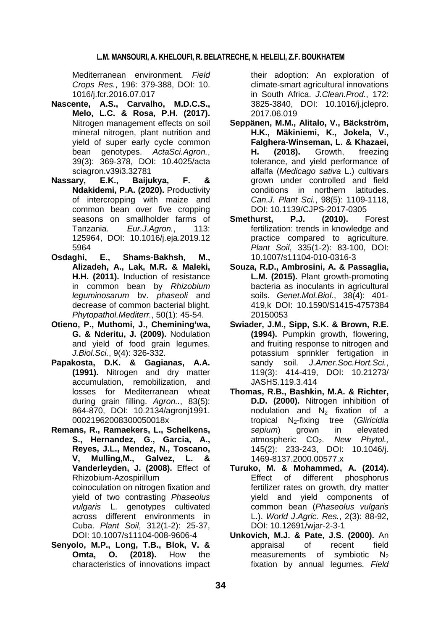Mediterranean environment. *Field Crops Res.*, 196: 379-388, DOI: 10. 1016/j.fcr.2016.07.017

- **Nascente, A.S., Carvalho, M.D.C.S., Melo, L.C. & Rosa, P.H. (2017).** Nitrogen management effects on soil mineral nitrogen, plant nutrition and yield of super early cycle common bean genotypes. *ActaSci.Agron.*, 39(3): 369-378, DOI: 10.4025/acta sciagron.v39i3.32781
- **Nassary, E.K., Baijukya, F. & Ndakidemi, P.A. (2020).** Productivity of intercropping with maize and common bean over five cropping seasons on smallholder farms of Tanzania. *Eur.J.Agron.*, 113: 125964, DOI: 10.1016/j.eja.2019.12 5964
- **Osdaghi, E., Shams-Bakhsh, M., Alizadeh, A., Lak, M.R. & Maleki, H.H. (2011).** Induction of resistance in common bean by *Rhizobium leguminosarum* bv. *phaseoli* and decrease of common bacterial blight. *Phytopathol.Mediterr.*, 50(1): 45-54.
- **Otieno, P., Muthomi, J., Chemining'wa, G. & Nderitu, J. (2009).** Nodulation and yield of food grain legumes. *J.Biol.Sci.*, 9(4): 326-332.
- **Papakosta, D.K. & Gagianas, A.A. (1991).** Nitrogen and dry matter accumulation, remobilization, and losses for Mediterranean wheat during grain filling. *Agron..*, 83(5): 864-870, DOI: 10.2134/agronj1991. 00021962008300050018x
- **Remans, R., Ramaekers, L., Schelkens, S., Hernandez, G., Garcia, A., Reyes, J.L., Mendez, N., Toscano, V, Mulling,M., Galvez, L. & Vanderleyden, J. (2008).** Effect of Rhizobium-Azospirillum coinoculation on nitrogen fixation and yield of two contrasting *Phaseolus vulgaris* L. genotypes cultivated across different environments in Cuba. *Plant Soil*, 312(1-2): 25-37, DOI: 10.1007/s11104-008-9606-4
- **Senyolo, M.P., Long, T.B., Blok, V. & Omta, O. (2018).** How the characteristics of innovations impact

their adoption: An exploration of climate-smart agricultural innovations in South Africa. *J.Clean.Prod.*, 172: 3825-3840, DOI: 10.1016/j.jclepro. 2017.06.019

- **Seppänen, M.M., Alitalo, V., Bäckström, H.K., Mäkiniemi, K., Jokela, V., Falghera-Winseman, L. & Khazaei, H. (2018).** Growth, freezing tolerance, and yield performance of alfalfa (*Medicago sativa* L.) cultivars grown under controlled and field conditions in northern latitudes. *Can.J. Plant Sci.*, 98(5): 1109-1118, DOI: 10.1139/CJPS-2017-0305
- **Smethurst, P.J. (2010).** Forest fertilization: trends in knowledge and practice compared to agriculture*. Plant Soil*, 335(1-2): 83-100, DOI: 10.1007/s11104-010-0316-3
- **Souza, R.D., Ambrosini, A. & Passaglia, L.M. (2015).** Plant growth-promoting bacteria as inoculants in agricultural soils. *Genet.Mol.Biol.*, 38(4): 401- 419,k DOI: 10.1590/S1415-4757384 20150053
- **Swiader, J.M., Sipp, S.K. & Brown, R.E. (1994).** Pumpkin growth, flowering, and fruiting response to nitrogen and potassium sprinkler fertigation in sandy soil. *J.Amer.Soc.Hort.Sci.*, 119(3): 414-419, DOI: 10.21273/ JASHS.119.3.414
- **Thomas, R.B., Bashkin, M.A. & Richter, D.D. (2000).** Nitrogen inhibition of nodulation and  $N_2$  fixation of a tropical N2-fixing tree (*Gliricidia sepium*) grown in elevated atmospheric CO<sub>2</sub>. New Phytol., 145(2): 233-243, DOI: 10.1046/j. 1469-8137.2000.00577.x
- **Turuko, M. & Mohammed, A. (2014).** Effect of different phosphorus fertilizer rates on growth, dry matter yield and yield components of common bean (*Phaseolus vulgaris* L.). *World J.Agric. Res.*, 2(3): 88-92, DOI: 10.12691/wjar-2-3-1
- **Unkovich, M.J. & Pate, J.S. (2000).** An appraisal of recent field measurements of symbiotic  $N_2$ fixation by annual legumes. *Field*